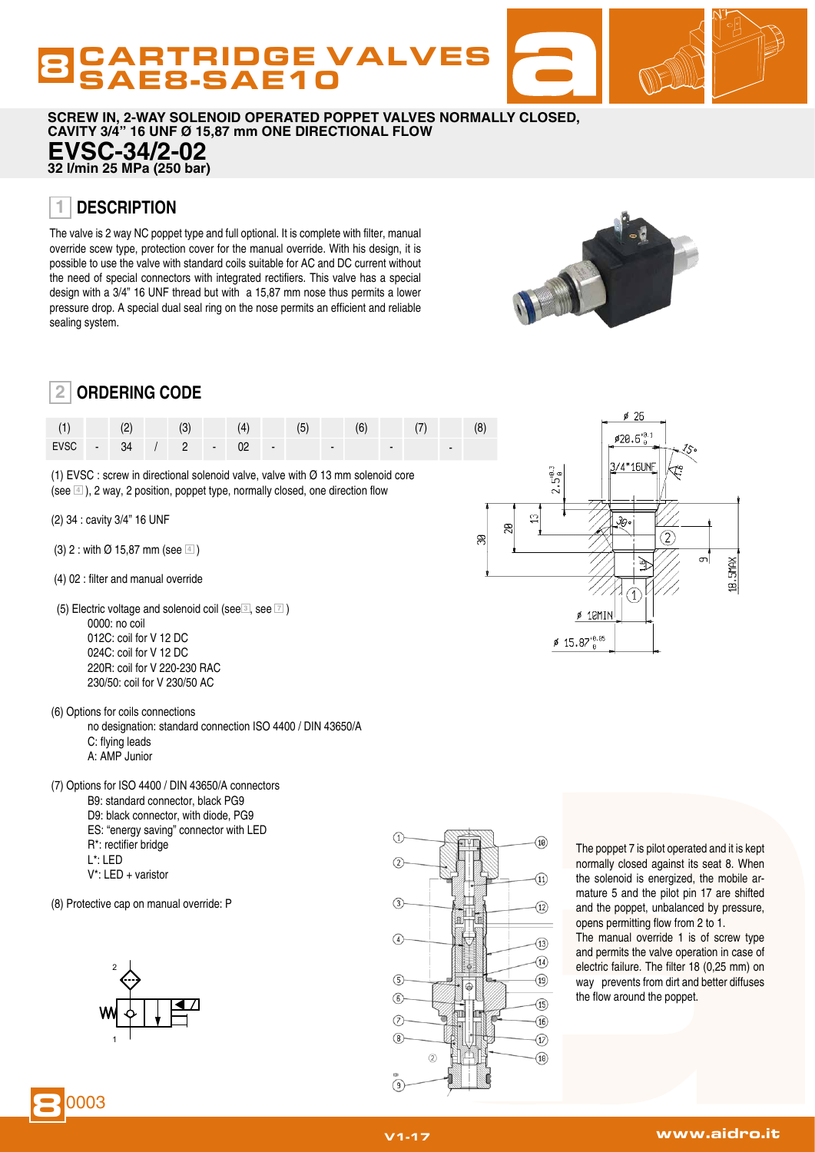# CARTRIDGE VALVES<br>SAE8-SAE10

**SCREW IN, 2-WAY SOLENOID OPERATED POPPET VALVES NORMALLY CLOSED, CAVITY 3/4" 16 UNF Ø 15,87 mm ONE DIRECTIONAL FLOW EVSC-34/2-02 32 l/min 25 MPa (250 bar)**

#### **DESCRIPTION 1**

The valve is 2 way NC poppet type and full optional. It is complete with filter, manual override scew type, protection cover for the manual override. With his design, it is possible to use the valve with standard coils suitable for AC and DC current without the need of special connectors with integrated rectifiers. This valve has a special design with a 3/4" 16 UNF thread but with a 15,87 mm nose thus permits a lower pressure drop. A special dual seal ring on the nose permits an efficient and reliable sealing system.



#### **ORDERING CODE 2**

| (1)    |  |  |  |   |  |  |  | (8) |
|--------|--|--|--|---|--|--|--|-----|
| EVSC - |  |  |  | - |  |  |  |     |

(1) EVSC : screw in directional solenoid valve, valve with  $\varnothing$  13 mm solenoid core (see **<sup>4</sup>** ), 2 way, 2 position, poppet type, normally closed, one direction flow

- (2) 34 : cavity 3/4" 16 UNF
- (3) 2 : with Ø 15,87 mm (see **<sup>4</sup>** )
- (4) 02 : filter and manual override
- (5) Electric voltage and solenoid coil (see **<sup>3</sup>** , see **<sup>7</sup>** ) 0000: no coil 012C: coil for V 12 DC 024C: coil for V 12 DC 220R: coil for V 220-230 RAC 230/50: coil for V 230/50 AC
- (6) Options for coils connections

 no designation: standard connection ISO 4400 / DIN 43650/A C: flying leads A: AMP Junior

(7) Options for ISO 4400 / DIN 43650/A connectors B9: standard connector, black PG9 D9: black connector, with diode, PG9

- ES: "energy saving" connector with LED
- R\*: rectifier bridge
- L\*: LED
- V\*: LED + varistor
- (8) Protective cap on manual override: P





The poppet 7 is pilot operated and it is kept normally closed against its seat 8. When the solenoid is energized, the mobile armature 5 and the pilot pin 17 are shifted and the poppet, unbalanced by pressure, opens permitting flow from 2 to 1.

The manual override 1 is of screw type and permits the valve operation in case of electric failure. The filter 18 (0,25 mm) on way prevents from dirt and better diffuses the flow around the poppet.



 $\cancel{0}$  26

8